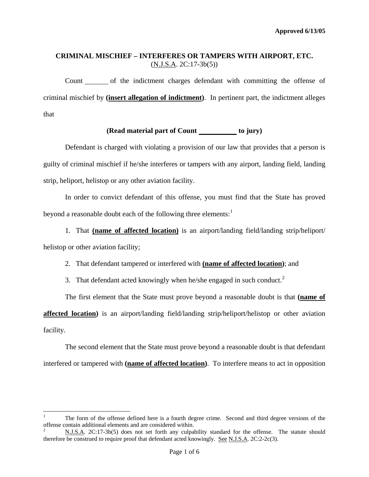Count of the indictment charges defendant with committing the offense of criminal mischief by **(insert allegation of indictment)**. In pertinent part, the indictment alleges that

## (Read material part of Count \_\_\_\_\_\_\_\_\_ to jury)

 Defendant is charged with violating a provision of our law that provides that a person is guilty of criminal mischief if he/she interferes or tampers with any airport, landing field, landing strip, heliport, helistop or any other aviation facility.

In order to convict defendant of this offense, you must find that the State has proved beyond a reasonable doubt each of the following three elements: $<sup>1</sup>$  $<sup>1</sup>$  $<sup>1</sup>$ </sup>

1. That **(name of affected location)** is an airport/landing field/landing strip/heliport/ helistop or other aviation facility;

2. That defendant tampered or interfered with **(name of affected location)**; and

3. That defendant acted knowingly when he/she engaged in such conduct.<sup>[2](#page-0-0)</sup>

The first element that the State must prove beyond a reasonable doubt is that **(name of** 

**affected location)** is an airport/landing field/landing strip/heliport/helistop or other aviation facility.

 The second element that the State must prove beyond a reasonable doubt is that defendant interfered or tampered with **(name of affected location)**. To interfere means to act in opposition

1

<span id="page-0-1"></span><sup>1</sup> The form of the offense defined here is a fourth degree crime. Second and third degree versions of the offense contain additional elements and are considered within. 2

<span id="page-0-0"></span>N.J.S.A. 2C:17-3b(5) does not set forth any culpability standard for the offense. The statute should therefore be construed to require proof that defendant acted knowingly. See N.J.S.A. 2C:2-2c(3).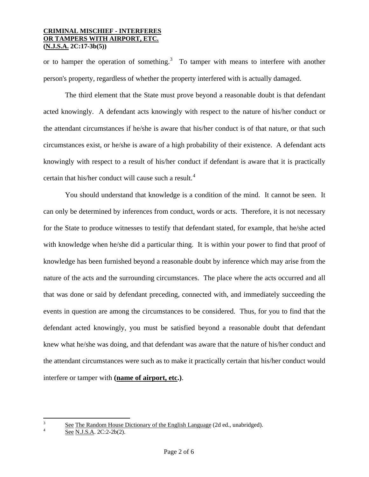or to hamper the operation of something.<sup>[3](#page-0-1)</sup> To tamper with means to interfere with another person's property, regardless of whether the property interfered with is actually damaged.

 The third element that the State must prove beyond a reasonable doubt is that defendant acted knowingly. A defendant acts knowingly with respect to the nature of his/her conduct or the attendant circumstances if he/she is aware that his/her conduct is of that nature, or that such circumstances exist, or he/she is aware of a high probability of their existence. A defendant acts knowingly with respect to a result of his/her conduct if defendant is aware that it is practically certain that his/her conduct will cause such a result.<sup>[4](#page-1-0)</sup>

 You should understand that knowledge is a condition of the mind. It cannot be seen. It can only be determined by inferences from conduct, words or acts. Therefore, it is not necessary for the State to produce witnesses to testify that defendant stated, for example, that he/she acted with knowledge when he/she did a particular thing. It is within your power to find that proof of knowledge has been furnished beyond a reasonable doubt by inference which may arise from the nature of the acts and the surrounding circumstances. The place where the acts occurred and all that was done or said by defendant preceding, connected with, and immediately succeeding the events in question are among the circumstances to be considered. Thus, for you to find that the defendant acted knowingly, you must be satisfied beyond a reasonable doubt that defendant knew what he/she was doing, and that defendant was aware that the nature of his/her conduct and the attendant circumstances were such as to make it practically certain that his/her conduct would interfere or tamper with **(name of airport, etc.)**.

 $\overline{a}$ 

<span id="page-1-1"></span><span id="page-1-0"></span><sup>3</sup> See The Random House Dictionary of the English Language (2d ed., unabridged).

See N.J.S.A. 2C:2-2b(2).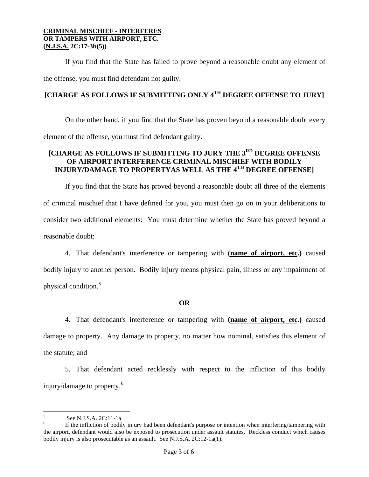If you find that the State has failed to prove beyond a reasonable doubt any element of the offense, you must find defendant not guilty.

# **[CHARGE AS FOLLOWS IF SUBMITTING ONLY 4TH DEGREE OFFENSE TO JURY]**

 On the other hand, if you find that the State has proven beyond a reasonable doubt every element of the offense, you must find defendant guilty.

## **[CHARGE AS FOLLOWS IF SUBMITTING TO JURY THE 3RD DEGREE OFFENSE OF AIRPORT INTERFERENCE CRIMINAL MISCHIEF WITH BODILY INJURY/DAMAGE TO PROPERTYAS WELL AS THE 4TH DEGREE OFFENSE]**

 If you find that the State has proved beyond a reasonable doubt all three of the elements of criminal mischief that I have defined for you, you must then go on in your deliberations to consider two additional elements: You must determine whether the State has proved beyond a reasonable doubt:

 4. That defendant's interference or tampering with **(name of airport, etc.)** caused bodily injury to another person. Bodily injury means physical pain, illness or any impairment of physical condition.<sup>[5](#page-1-1)</sup>

## **OR**

4. That defendant's interference or tampering with **(name of airport, etc.)** caused damage to property. Any damage to property, no matter how nominal, satisfies this element of the statute; and

 5. That defendant acted recklessly with respect to the infliction of this bodily injury/damage to property.[6](#page-2-1)

 $\overline{a}$ 

<sup>5</sup> See N.J.S.A. 2C:11-1a. 6

<span id="page-2-2"></span><span id="page-2-1"></span><span id="page-2-0"></span>If the infliction of bodily injury had been defendant's purpose or intention when interfering/tampering with the airport, defendant would also be exposed to prosecution under assault statutes. Reckless conduct which causes bodily injury is also prosecutable as an assault. See N.J.S.A. 2C:12-1a(1).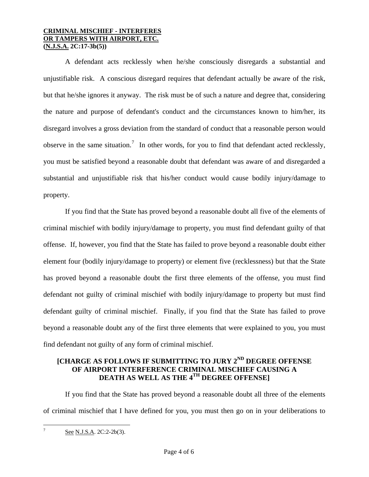A defendant acts recklessly when he/she consciously disregards a substantial and unjustifiable risk. A conscious disregard requires that defendant actually be aware of the risk, but that he/she ignores it anyway. The risk must be of such a nature and degree that, considering the nature and purpose of defendant's conduct and the circumstances known to him/her, its disregard involves a gross deviation from the standard of conduct that a reasonable person would observe in the same situation.<sup>[7](#page-2-2)</sup> In other words, for you to find that defendant acted recklessly, you must be satisfied beyond a reasonable doubt that defendant was aware of and disregarded a substantial and unjustifiable risk that his/her conduct would cause bodily injury/damage to property.

 If you find that the State has proved beyond a reasonable doubt all five of the elements of criminal mischief with bodily injury/damage to property, you must find defendant guilty of that offense. If, however, you find that the State has failed to prove beyond a reasonable doubt either element four (bodily injury/damage to property) or element five (recklessness) but that the State has proved beyond a reasonable doubt the first three elements of the offense, you must find defendant not guilty of criminal mischief with bodily injury/damage to property but must find defendant guilty of criminal mischief. Finally, if you find that the State has failed to prove beyond a reasonable doubt any of the first three elements that were explained to you, you must find defendant not guilty of any form of criminal mischief.

## **[CHARGE AS FOLLOWS IF SUBMITTING TO JURY 2ND DEGREE OFFENSE OF AIRPORT INTERFERENCE CRIMINAL MISCHIEF CAUSING A DEATH AS WELL AS THE 4TH DEGREE OFFENSE]**

 If you find that the State has proved beyond a reasonable doubt all three of the elements of criminal mischief that I have defined for you, you must then go on in your deliberations to

<span id="page-3-0"></span> $\overline{a}$ 7 See N.J.S.A. 2C:2-2b(3).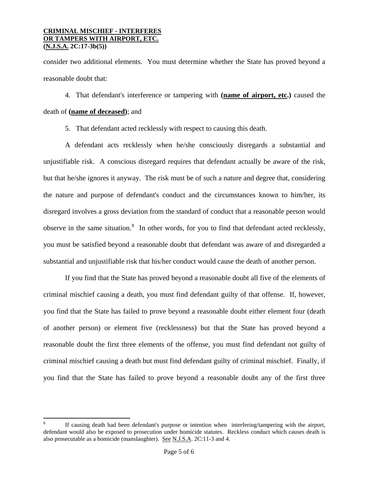1

consider two additional elements. You must determine whether the State has proved beyond a reasonable doubt that:

 4. That defendant's interference or tampering with **(name of airport, etc.)** caused the death of **(name of deceased)**; and

5. That defendant acted recklessly with respect to causing this death.

 A defendant acts recklessly when he/she consciously disregards a substantial and unjustifiable risk. A conscious disregard requires that defendant actually be aware of the risk, but that he/she ignores it anyway. The risk must be of such a nature and degree that, considering the nature and purpose of defendant's conduct and the circumstances known to him/her, its disregard involves a gross deviation from the standard of conduct that a reasonable person would observe in the same situation.<sup>[8](#page-3-0)</sup> In other words, for you to find that defendant acted recklessly, you must be satisfied beyond a reasonable doubt that defendant was aware of and disregarded a substantial and unjustifiable risk that his/her conduct would cause the death of another person.

 If you find that the State has proved beyond a reasonable doubt all five of the elements of criminal mischief causing a death, you must find defendant guilty of that offense. If, however, you find that the State has failed to prove beyond a reasonable doubt either element four (death of another person) or element five (recklessness) but that the State has proved beyond a reasonable doubt the first three elements of the offense, you must find defendant not guilty of criminal mischief causing a death but must find defendant guilty of criminal mischief. Finally, if you find that the State has failed to prove beyond a reasonable doubt any of the first three

<sup>8</sup> If causing death had been defendant's purpose or intention when interfering/tampering with the airport, defendant would also be exposed to prosecution under homicide statutes. Reckless conduct which causes death is also prosecutable as a homicide (manslaughter). See N.J.S.A. 2C:11-3 and 4.